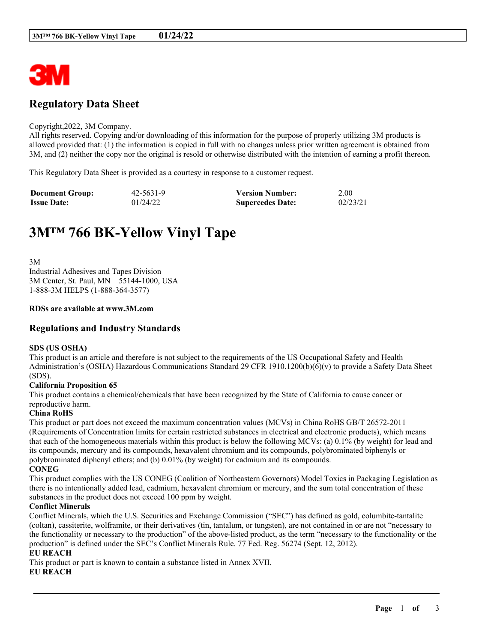

## **Regulatory Data Sheet**

#### Copyright,2022, 3M Company.

All rights reserved. Copying and/or downloading of this information for the purpose of properly utilizing 3M products is allowed provided that: (1) the information is copied in full with no changes unless prior written agreement is obtained from 3M, and (2) neither the copy nor the original is resold or otherwise distributed with the intention of earning a profit thereon.

This Regulatory Data Sheet is provided as a courtesy in response to a customer request.

| <b>Document Group:</b> | 42-5631-9 | <b>Version Number:</b>  | 2.00     |
|------------------------|-----------|-------------------------|----------|
| <b>Issue Date:</b>     | 01/24/22  | <b>Supercedes Date:</b> | 02/23/21 |

# **3M™ 766 BK-Yellow Vinyl Tape**

3M Industrial Adhesives and Tapes Division 3M Center, St. Paul, MN 55144-1000, USA 1-888-3M HELPS (1-888-364-3577)

#### **RDSs are available at www.3M.com**

## **Regulations and Industry Standards**

#### **SDS (US OSHA)**

This product is an article and therefore is not subject to the requirements of the US Occupational Safety and Health Administration's (OSHA) Hazardous Communications Standard 29 CFR 1910.1200(b)(6)(v) to provide a Safety Data Sheet (SDS).

#### **California Proposition 65**

This product contains a chemical/chemicals that have been recognized by the State of California to cause cancer or reproductive harm.

#### **China RoHS**

This product or part does not exceed the maximum concentration values (MCVs) in China RoHS GB/T 26572-2011 (Requirements of Concentration limits for certain restricted substances in electrical and electronic products), which means that each of the homogeneous materials within this product is below the following MCVs: (a) 0.1% (by weight) for lead and its compounds, mercury and its compounds, hexavalent chromium and its compounds, polybrominated biphenyls or polybrominated diphenyl ethers; and (b) 0.01% (by weight) for cadmium and its compounds. **CONEG**

This product complies with the US CONEG (Coalition of Northeastern Governors) Model Toxics in Packaging Legislation as there is no intentionally added lead, cadmium, hexavalent chromium or mercury, and the sum total concentration of these substances in the product does not exceed 100 ppm by weight.

#### **Conflict Minerals**

Conflict Minerals, which the U.S. Securities and Exchange Commission ("SEC") has defined as gold, columbite-tantalite (coltan), cassiterite, wolframite, or their derivatives (tin, tantalum, or tungsten), are not contained in or are not "necessary to the functionality or necessary to the production" of the above-listed product, as the term "necessary to the functionality or the production" is defined under the SEC's Conflict Minerals Rule. 77 Fed. Reg. 56274 (Sept. 12, 2012).

\_\_\_\_\_\_\_\_\_\_\_\_\_\_\_\_\_\_\_\_\_\_\_\_\_\_\_\_\_\_\_\_\_\_\_\_\_\_\_\_\_\_\_\_\_\_\_\_\_\_\_\_\_\_\_\_\_\_\_\_\_\_\_\_\_\_\_\_\_\_\_\_\_\_\_\_\_\_\_\_\_\_\_\_\_\_\_\_\_\_

### **EU REACH**

This product or part is known to contain a substance listed in Annex XVII.

#### **EU REACH**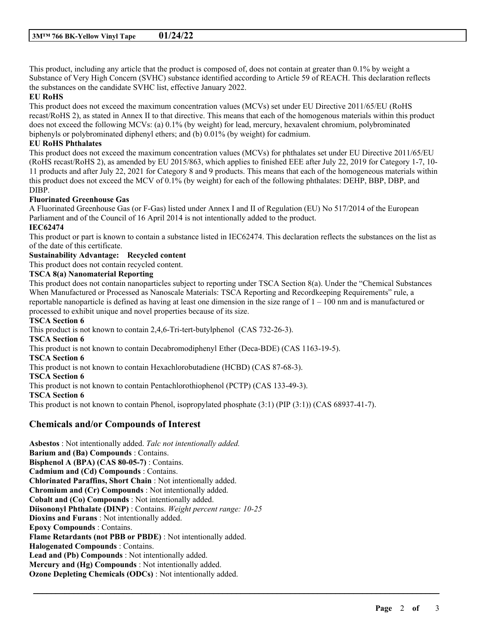This product, including any article that the product is composed of, does not contain at greater than 0.1% by weight a Substance of Very High Concern (SVHC) substance identified according to Article 59 of REACH. This declaration reflects the substances on the candidate SVHC list, effective January 2022.

#### **EU RoHS**

This product does not exceed the maximum concentration values (MCVs) set under EU Directive 2011/65/EU (RoHS recast/RoHS 2), as stated in Annex II to that directive. This means that each of the homogenous materials within this product does not exceed the following MCVs: (a) 0.1% (by weight) for lead, mercury, hexavalent chromium, polybrominated biphenyls or polybrominated diphenyl ethers; and (b) 0.01% (by weight) for cadmium.

#### **EU RoHS Phthalates**

This product does not exceed the maximum concentration values (MCVs) for phthalates set under EU Directive 2011/65/EU (RoHS recast/RoHS 2), as amended by EU 2015/863, which applies to finished EEE after July 22, 2019 for Category 1-7, 10- 11 products and after July 22, 2021 for Category 8 and 9 products. This means that each of the homogeneous materials within this product does not exceed the MCV of 0.1% (by weight) for each of the following phthalates: DEHP, BBP, DBP, and DIBP.

#### **Fluorinated Greenhouse Gas**

A Fluorinated Greenhouse Gas (or F-Gas) listed under Annex I and II of Regulation (EU) No 517/2014 of the European Parliament and of the Council of 16 April 2014 is not intentionally added to the product.

## **IEC62474**

This product or part is known to contain a substance listed in IEC62474. This declaration reflects the substances on the list as of the date of this certificate.

## **Sustainability Advantage: Recycled content**

This product does not contain recycled content.

#### **TSCA 8(a) Nanomaterial Reporting**

This product does not contain nanoparticles subject to reporting under TSCA Section 8(a). Under the "Chemical Substances When Manufactured or Processed as Nanoscale Materials: TSCA Reporting and Recordkeeping Requirements" rule, a reportable nanoparticle is defined as having at least one dimension in the size range of  $1 - 100$  nm and is manufactured or processed to exhibit unique and novel properties because of its size.

\_\_\_\_\_\_\_\_\_\_\_\_\_\_\_\_\_\_\_\_\_\_\_\_\_\_\_\_\_\_\_\_\_\_\_\_\_\_\_\_\_\_\_\_\_\_\_\_\_\_\_\_\_\_\_\_\_\_\_\_\_\_\_\_\_\_\_\_\_\_\_\_\_\_\_\_\_\_\_\_\_\_\_\_\_\_\_\_\_\_

#### **TSCA Section 6**

This product is not known to contain 2,4,6-Tri-tert-butylphenol (CAS 732-26-3). **TSCA Section 6** This product is not known to contain Decabromodiphenyl Ether (Deca-BDE) (CAS 1163-19-5). **TSCA Section 6** This product is not known to contain Hexachlorobutadiene (HCBD) (CAS 87-68-3). **TSCA Section 6** This product is not known to contain Pentachlorothiophenol (PCTP) (CAS 133-49-3). **TSCA Section 6** This product is not known to contain Phenol, isopropylated phosphate (3:1) (PIP (3:1)) (CAS 68937-41-7).

## **Chemicals and/or Compounds of Interest**

**Asbestos** : Not intentionally added. *Talc not intentionally added.* **Barium and (Ba) Compounds** : Contains. **Bisphenol A (BPA) (CAS 80-05-7)** : Contains. **Cadmium and (Cd) Compounds** : Contains. **Chlorinated Paraffins, Short Chain** : Not intentionally added. **Chromium and (Cr) Compounds** : Not intentionally added. **Cobalt and (Co) Compounds** : Not intentionally added. **Diisononyl Phthalate (DINP)** : Contains. *Weight percent range: 10-25* **Dioxins and Furans** : Not intentionally added. **Epoxy Compounds** : Contains. **Flame Retardants (not PBB or PBDE)** : Not intentionally added. **Halogenated Compounds** : Contains. **Lead and (Pb) Compounds** : Not intentionally added. **Mercury and (Hg) Compounds** : Not intentionally added. **Ozone Depleting Chemicals (ODCs)** : Not intentionally added.